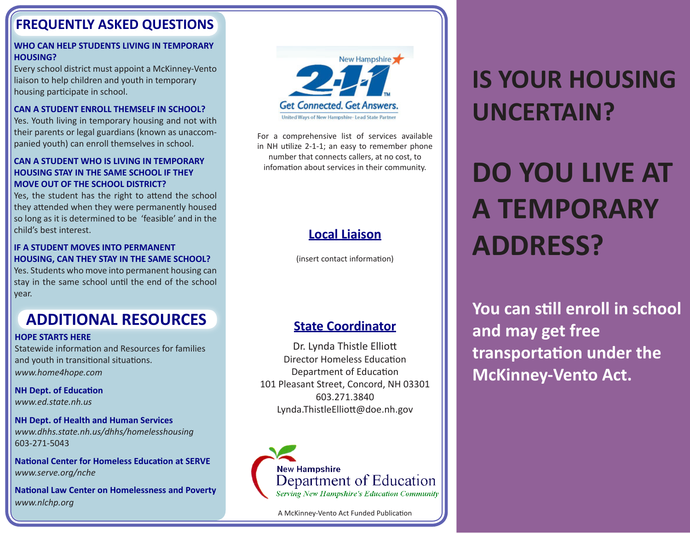## **FREQUENTLY ASKED QUESTIONS**

#### **WHO CAN HELP STUDENTS LIVING IN TEMPORARY HOUSING?**

Every school district must appoint a McKinney-Vento liaison to help children and youth in temporary housing participate in school.

## **CAN A STUDENT ENROLL THEMSELF IN SCHOOL?**

Yes. Youth living in temporary housing and not with their parents or legal guardians (known as unaccompanied youth) can enroll themselves in school.

## **CAN A STUDENT WHO IS LIVING IN TEMPORARY HOUSING STAY IN THE SAME SCHOOL IF THEY MOVE OUT OF THE SCHOOL DISTRICT?**

Yes, the student has the right to attend the school they attended when they were permanently housed so long as it is determined to be 'feasible' and in the child's best interest.

## **IF A STUDENT MOVES INTO PERMANENT HOUSING, CAN THEY STAY IN THE SAME SCHOOL?**

Yes. Students who move into permanent housing can stay in the same school until the end of the school year.

## **ADDITIONAL RESOURCES**

#### **HOPE STARTS HERE**

Statewide information and Resources for families and youth in transitional situations. *www.home4hope.com*

**NH Dept. of Education** *www.ed.state.nh.us*

#### **NH Dept. of Health and Human Services** *www.dhhs.state.nh.us/dhhs/homelesshousing* 603-271-5043

**National Center for Homeless Education at SERVE** *www.serve.org/nche*

**National Law Center on Homelessness and Poverty** *www.nlchp.org*



For a comprehensive list of services available in NH utilize 2-1-1; an easy to remember phone number that connects callers, at no cost, to infomation about services in their community.

## **Local Liaison**

(insert contact information)

## **State Coordinator**

Dr. Lynda Thistle Elliott Director Homeless Education Department of Education 101 Pleasant Street, Concord, NH 03301 603.271.3840 Lynda.ThistleElliott@doe.nh.gov



A McKinney-Vento Act Funded Publication

## **IS YOUR HOUSING UNCERTAIN?**

# **DO YOU LIVE AT A TEMPORARY ADDRESS?**

**You can still enroll in school and may get free transportation under the McKinney-Vento Act.**